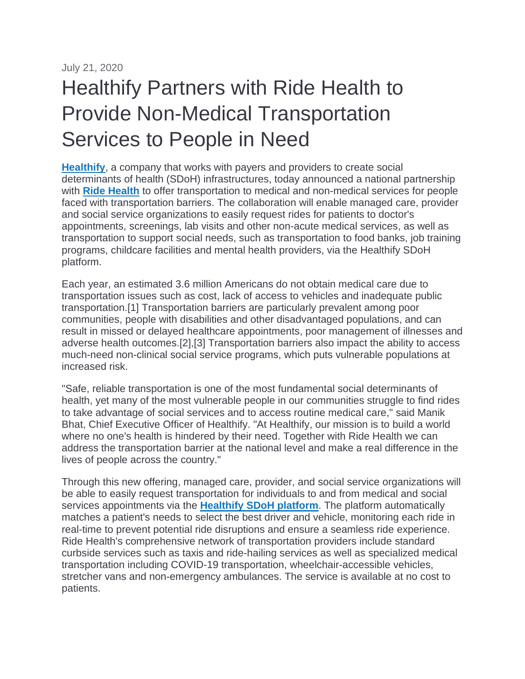July 21, 2020

## Healthify Partners with Ride Health to Provide Non-Medical Transportation Services to People in Need

**[Healthify](https://c212.net/c/link/?t=0&l=en&o=2862924-1&h=3017961698&u=https%3A%2F%2Fwww.healthify.us%2F&a=Healthify)**, a company that works with payers and providers to create social determinants of health (SDoH) infrastructures, today announced a national partnership with **[Ride Health](https://c212.net/c/link/?t=0&l=en&o=2862924-1&h=556170012&u=http%3A%2F%2Fwww.ridehealth.com%2F&a=Ride+Health)** to offer transportation to medical and non-medical services for people faced with transportation barriers. The collaboration will enable managed care, provider and social service organizations to easily request rides for patients to doctor's appointments, screenings, lab visits and other non-acute medical services, as well as transportation to support social needs, such as transportation to food banks, job training programs, childcare facilities and mental health providers, via the Healthify SDoH platform.

Each year, an estimated 3.6 million Americans do not obtain medical care due to transportation issues such as cost, lack of access to vehicles and inadequate public transportation.[1] Transportation barriers are particularly prevalent among poor communities, people with disabilities and other disadvantaged populations, and can result in missed or delayed healthcare appointments, poor management of illnesses and adverse health outcomes.[2],[3] Transportation barriers also impact the ability to access much-need non-clinical social service programs, which puts vulnerable populations at increased risk.

"Safe, reliable transportation is one of the most fundamental social determinants of health, yet many of the most vulnerable people in our communities struggle to find rides to take advantage of social services and to access routine medical care," said Manik Bhat, Chief Executive Officer of Healthify. "At Healthify, our mission is to build a world where no one's health is hindered by their need. Together with Ride Health we can address the transportation barrier at the national level and make a real difference in the lives of people across the country."

Through this new offering, managed care, provider, and social service organizations will be able to easily request transportation for individuals to and from medical and social services appointments via the **[Healthify SDoH platform](https://c212.net/c/link/?t=0&l=en&o=2862924-1&h=3752840663&u=https%3A%2F%2Fwww.healthify.us%2Fsolutions%23Platform&a=Healthify+SDoH+platform)**. The platform automatically matches a patient's needs to select the best driver and vehicle, monitoring each ride in real-time to prevent potential ride disruptions and ensure a seamless ride experience. Ride Health's comprehensive network of transportation providers include standard curbside services such as taxis and ride-hailing services as well as specialized medical transportation including COVID-19 transportation, wheelchair-accessible vehicles, stretcher vans and non-emergency ambulances. The service is available at no cost to patients.